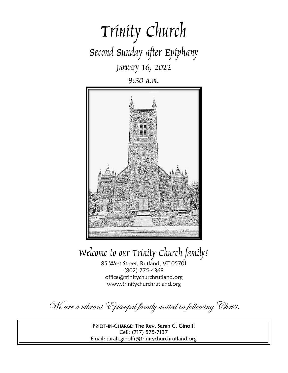

9:30 a.m.



Welcome to our Trinity Church family!

85 West Street, Rutland, VT 05701 (802) 775-4368 office@trinitychurchrutland.org www.trinitychurchrutland.org

We are a vibrant Episcopal family united in following Christ.

PRIEST-IN-CHARGE: The Rev. Sarah C. Ginolfi Cell: (717) 575-7137 Email: sarah.ginolfi@trinitychurchrutland.org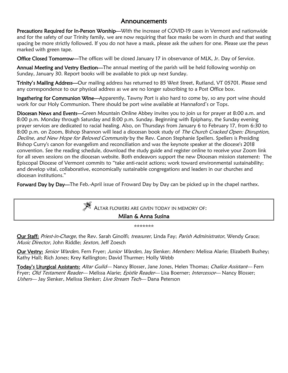### Announcements

Precautions Required for In-Person Worship—With the increase of COVID-19 cases in Vermont and nationwide and for the safety of our Trinity family, we are now requiring that face masks be worn in church and that seating spacing be more strictly followed. If you do not have a mask, please ask the ushers for one. Please use the pews marked with green tape.

Office Closed Tomorrow—The offices will be closed January 17 in observance of MLK, Jr. Day of Service.

Annual Meeting and Vestry Election—The annual meeting of the parish will be held following worship on Sunday, January 30. Report books will be available to pick up next Sunday.

Trinity's Mailing Address—Our mailing address has returned to 85 West Street, Rutland, VT 05701. Please send any correspondence to our physical address as we are no longer subscribing to a Post Office box.

Ingathering for Communion Wine—Apparently, Tawny Port is also hard to come by, so any port wine should work for our Holy Communion. There should be port wine available at Hannaford's or Tops.

Diocesan News and Events—Green Mountain Online Abbey invites you to join us for prayer at 8:00 a.m. and 8:00 p.m. Monday through Saturday and 8:00 p.m. Sunday. Beginning with Epiphany, the Sunday evening prayer services are dedicated to racial healing. Also, on Thursdays from January 6 to February 17, from 6:30 to 8:00 p.m. on Zoom, Bishop Shannon will lead a diocesan book study of The Church Cracked Open: Disruption, Decline, and New Hope for Beloved Community by the Rev. Canon Stephanie Spellers. Spellers is Presiding Bishop Curry's canon for evangelism and reconciliation and was the keynote speaker at the diocese's 2018 convention. See the reading schedule, download the study guide and register online to receive your Zoom link for all seven sessions on the diocesan website. Both endeavors support the new Diocesan mission statement: The Episcopal Diocese of Vermont commits to "take anti-racist actions; work toward environmental sustainability; and develop vital, collaborative, economically sustainable congregations and leaders in our churches and diocesan institutions."

Forward Day by Day—The Feb.-April issue of Froward Day by Day can be picked up in the chapel narthex.



\*\*\*\*\*\*\*

Our Staff: Priest-in-Charge, the Rev. Sarah Ginolfi; treasurer, Linda Fay; Parish Administrator, Wendy Grace; Music Director, John Riddle; Sexton, Jeff Zoesch

Our Vestry: Senior Warden, Fern Fryer; Junior Warden, Jay Slenker; Members: Melissa Alarie; Elizabeth Bushey; Kathy Hall; Rich Jones; Krey Kellington; David Thurmer; Holly Webb

Today's Liturgical Assistants: Altar Guild— Nancy Blosser, Jane Jones, Helen Thomas; Chalice Assistant— Fern Fryer; Old Testament Reader— Melissa Alarie; Epistle Reader— Lisa Boerner; Intercessor— Nancy Blosser; Ushers-Jay Slenker, Melissa Slenker; Live Stream Tech-Dana Peterson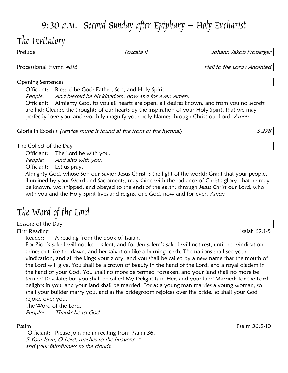## 9:30 a.m. Second Sunday after Epiphany – Holy Eucharist

## The Invitatory

Prelude Toccata II Toccata II Johann Jakob Froberger

Processional Hymn #616 **Hail to the Lord's Anointed** 

#### Opening Sentences

Officiant: Blessed be God: Father, Son, and Holy Spirit.

People: And blessed be his kingdom, now and for ever. Amen.

Officiant: Almighty God, to you all hearts are open, all desires known, and from you no secrets are hid: Cleanse the thoughts of our hearts by the inspiration of your Holy Spirit, that we may perfectly love you, and worthily magnify your holy Name; through Christ our Lord. Amen.

| Gloria in Excelsis (service music is found at the front of the hymnal) | S278 |
|------------------------------------------------------------------------|------|
|------------------------------------------------------------------------|------|

#### The Collect of the Day

Officiant: The Lord be with you.

People: And also with you.

Officiant: Let us pray.

Almighty God, whose Son our Savior Jesus Christ is the light of the world: Grant that your people, illumined by your Word and Sacraments, may shine with the radiance of Christ's glory, that he may be known, worshipped, and obeyed to the ends of the earth; through Jesus Christ our Lord, who with you and the Holy Spirit lives and reigns, one God, now and for ever. Amen.

# The Word of the Lord

Lessons of the Day

First Reading Isaiah 62:1-5

Reader: A reading from the book of Isaiah.

For Zion's sake I will not keep silent, and for Jerusalem's sake I will not rest, until her vindication shines out like the dawn, and her salvation like a burning torch. The nations shall see your vindication, and all the kings your glory; and you shall be called by a new name that the mouth of the Lord will give. You shall be a crown of beauty in the hand of the Lord, and a royal diadem in the hand of your God. You shall no more be termed Forsaken, and your land shall no more be termed Desolate; but you shall be called My Delight Is in Her, and your land Married; for the Lord delights in you, and your land shall be married. For as a young man marries a young woman, so shall your builder marry you, and as the bridegroom rejoices over the bride, so shall your God rejoice over you.

The Word of the Lord. People: Thanks be to God.

Officiant: Please join me in reciting from Psalm 36. 5 Your love, O Lord, reaches to the heavens, \* and your faithfulness to the clouds.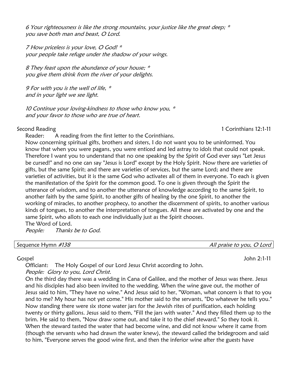6 Your righteousness is like the strong mountains, your justice like the great deep; \* you save both man and beast, O Lord.

7 How priceless is your love, O God! \* your people take refuge under the shadow of your wings.

8 They feast upon the abundance of your house; \* you give them drink from the river of your delights.

9 For with you is the well of life, \* and in your light we see light.

10 Continue your loving-kindness to those who know you, \* and your favor to those who are true of heart.

Reader: A reading from the first letter to the Corinthians.

Now concerning spiritual gifts, brothers and sisters, I do not want you to be uninformed. You know that when you were pagans, you were enticed and led astray to idols that could not speak. Therefore I want you to understand that no one speaking by the Spirit of God ever says "Let Jesus be cursed!" and no one can say "Jesus is Lord" except by the Holy Spirit. Now there are varieties of gifts, but the same Spirit; and there are varieties of services, but the same Lord; and there are varieties of activities, but it is the same God who activates all of them in everyone. To each is given the manifestation of the Spirit for the common good. To one is given through the Spirit the utterance of wisdom, and to another the utterance of knowledge according to the same Spirit, to another faith by the same Spirit, to another gifts of healing by the one Spirit, to another the working of miracles, to another prophecy, to another the discernment of spirits, to another various kinds of tongues, to another the interpretation of tongues. All these are activated by one and the same Spirit, who allots to each one individually just as the Spirit chooses. The Word of Lord.

People: Thanks be to God.

#### Sequence Hymn #138 All praise to you, O Lord

#### Gospel John 2:1-11

Officiant: The Holy Gospel of our Lord Jesus Christ according to John. People: Glory to you, Lord Christ.

On the third day there was a wedding in Cana of Galilee, and the mother of Jesus was there. Jesus and his disciples had also been invited to the wedding. When the wine gave out, the mother of Jesus said to him, "They have no wine." And Jesus said to her, "Woman, what concern is that to you and to me? My hour has not yet come." His mother said to the servants, "Do whatever he tells you." Now standing there were six stone water jars for the Jewish rites of purification, each holding twenty or thirty gallons. Jesus said to them, "Fill the jars with water." And they filled them up to the brim. He said to them, "Now draw some out, and take it to the chief steward." So they took it. When the steward tasted the water that had become wine, and did not know where it came from (though the servants who had drawn the water knew), the steward called the bridegroom and said to him, "Everyone serves the good wine first, and then the inferior wine after the guests have

Second Reading 1 Corinthians 12:1-11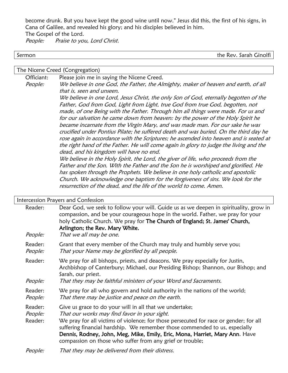become drunk. But you have kept the good wine until now." Jesus did this, the first of his signs, in Cana of Galilee, and revealed his glory; and his disciples believed in him.

The Gospel of the Lord.

People: Praise to you, Lord Christ.

Sermon the Rev. Sarah Ginolfi

The Nicene Creed (Congregation)

Officiant: Please join me in saying the Nicene Creed. People: We believe in one God, the Father, the Almighty, maker of heaven and earth, of all that is, seen and unseen. We believe in one Lord, Jesus Christ, the only Son of God, eternally begotten of the Father, God from God, Light from Light, true God from true God, begotten, not made, of one Being with the Father. Through him all things were made. For us and for our salvation he came down from heaven: by the power of the Holy Spirit he became incarnate from the Virgin Mary, and was made man. For our sake he was crucified under Pontius Pilate; he suffered death and was buried. On the third day he rose again in accordance with the Scriptures; he ascended into heaven and is seated at the right hand of the Father. He will come again in glory to judge the living and the dead, and his kingdom will have no end. We believe in the Holy Spirit, the Lord, the giver of life, who proceeds from the Father and the Son. With the Father and the Son he is worshiped and glorified. He has spoken through the Prophets. We believe in one holy catholic and apostolic Church. We acknowledge one baptism for the forgiveness of sins. We look for the

resurrection of the dead, and the life of the world to come. Amen.

Intercession Prayers and Confession Reader: Dear God, we seek to follow your will. Guide us as we deepen in spirituality, grow in compassion, and be your courageous hope in the world. Father, we pray for your holy Catholic Church. We pray for The Church of England; St. James' Church, Arlington; the Rev. Mary White. People: That we all may be one. Reader: Grant that every member of the Church may truly and humbly serve you; People: That your Name may be glorified by all people. Reader: We pray for all bishops, priests, and deacons. We pray especially for Justin, Archbishop of Canterbury; Michael, our Presiding Bishop; Shannon, our Bishop; and Sarah, our priest. People: That they may be faithful ministers of your Word and Sacraments. Reader: We pray for all who govern and hold authority in the nations of the world; People: That there may be justice and peace on the earth. Reader: Give us grace to do your will in all that we undertake; People: That our works may find favor in your sight. Reader: We pray for all victims of violence; for those persecuted for race or gender; for all suffering financial hardship. We remember those commended to us, especially Dennis, Rodney, John, Meg, Mike, Emily, Eric, Mona, Harriet, Mary Ann. Have compassion on those who suffer from any grief or trouble; People: That they may be delivered from their distress.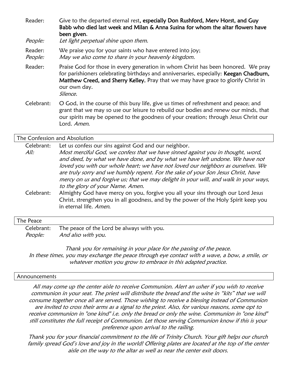Reader: Give to the departed eternal rest, especially Don Rushford, Merv Horst, and Guy Babb who died last week and Milan & Anna Susina for whom the altar flowers have been given.

People: Let light perpetual shine upon them.

Reader: We praise you for your saints who have entered into joy;

People: May we also come to share in your heavenly kingdom.

- Reader: Praise God for those in every generation in whom Christ has been honored. We pray for parishioners celebrating birthdays and anniversaries, especially: Keegan Chadburn, Matthew Creed, and Sherry Kelley. Pray that we may have grace to glorify Christ in our own day. Silence.
- Celebrant: O God, in the course of this busy life, give us times of refreshment and peace; and grant that we may so use our leisure to rebuild our bodies and renew our minds, that our spirits may be opened to the goodness of your creation; through Jesus Christ our Lord. Amen.

#### The Confession and Absolution

| Celebrant: | Let us confess our sins against God and our neighbor.                                |
|------------|--------------------------------------------------------------------------------------|
| All:       | Most merciful God, we confess that we have sinned against you in thought, word,      |
|            | and deed, by what we have done, and by what we have left undone. We have not         |
|            | loved you with our whole heart; we have not loved our neighbors as ourselves. We     |
|            | are truly sorry and we humbly repent. For the sake of your Son Jesus Christ, have    |
|            | mercy on us and forgive us; that we may delight in your will, and walk in your ways, |
|            | to the glory of your Name. Amen.                                                     |
| Celebrant: | Almighty God have mercy on you, forgive you all your sins through our Lord Jesus     |
|            | Christ, strengthen you in all goodness, and by the power of the Holy Spirit keep you |
|            | in eternal life. Amen.                                                               |

#### The Peace

Celebrant: The peace of the Lord be always with you. People: And also with you.

Thank you for remaining in your place for the passing of the peace. In these times, you may exchange the peace through eye contact with a wave, a bow, a smile, or whatever motion you grow to embrace in this adapted practice.

#### Announcements

All may come up the center aisle to receive Communion. Alert an usher if you wish to receive communion in your seat. The priest will distribute the bread and the wine in "kits" that we will consume together once all are served. Those wishing to receive a blessing instead of Communion are invited to cross their arms as a signal to the priest. Also, for various reasons, some opt to receive communion in "one kind" i.e. only the bread or only the wine. Communion in "one kind" still constitutes the full receipt of Communion. Let those serving Communion know if this is your preference upon arrival to the railing.

Thank you for your financial commitment to the life of Trinity Church. Your gift helps our church family spread God's love and joy in the world! Offering plates are located at the top of the center aisle on the way to the altar as well as near the center exit doors.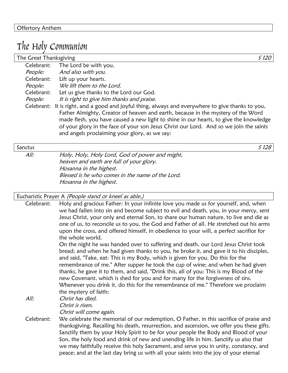## The Holy Communion

| The Great Thanksgiving | S 120                                                                                                                                                                                                                                                                                                                                                                                                          |
|------------------------|----------------------------------------------------------------------------------------------------------------------------------------------------------------------------------------------------------------------------------------------------------------------------------------------------------------------------------------------------------------------------------------------------------------|
| Celebrant:             | The Lord be with you.                                                                                                                                                                                                                                                                                                                                                                                          |
| People:                | And also with you.                                                                                                                                                                                                                                                                                                                                                                                             |
| Celebrant:             | Lift up your hearts.                                                                                                                                                                                                                                                                                                                                                                                           |
| People:                | We lift them to the Lord.                                                                                                                                                                                                                                                                                                                                                                                      |
| Celebrant:             | Let us give thanks to the Lord our God.                                                                                                                                                                                                                                                                                                                                                                        |
| People:                | It is right to give him thanks and praise.                                                                                                                                                                                                                                                                                                                                                                     |
| Celebrant:             | It is right, and a good and joyful thing, always and everywhere to give thanks to you,<br>Father Almighty, Creator of heaven and earth, because in the mystery of the Word<br>made flesh, you have caused a new light to shine in our hearts, to give the knowledge<br>of your glory in the face of your son Jesus Christ our Lord. And so we join the saints<br>and angels proclaiming your glory, as we say: |
| Sanctus                | S 128                                                                                                                                                                                                                                                                                                                                                                                                          |
| All:                   | Holy, Holy, Holy Lord, God of power and might,                                                                                                                                                                                                                                                                                                                                                                 |

heaven and earth are full of your glory. Hosanna in the highest. Blessed is he who comes in the name of the Lord. Hosanna in the highest.

### Eucharistic Prayer A (People stand or kneel as able.)

| Celebrant: | Holy and gracious Father: In your infinite love you made us for yourself, and, when                                                                                                                    |
|------------|--------------------------------------------------------------------------------------------------------------------------------------------------------------------------------------------------------|
|            | we had fallen into sin and become subject to evil and death, you, in your mercy, sent                                                                                                                  |
|            | Jesus Christ, your only and eternal Son, to share our human nature, to live and die as                                                                                                                 |
|            | one of us, to reconcile us to you, the God and Father of all. He stretched out his arms<br>upon the cross, and offered himself, in obedience to your will, a perfect sacrifice for<br>the whole world. |
|            | On the night he was handed over to suffering and death, our Lord Jesus Christ took                                                                                                                     |
|            | bread; and when he had given thanks to you, he broke it, and gave it to his disciples,<br>and said, "Take, eat: This is my Body, which is given for you. Do this for the                               |
|            | remembrance of me." After supper he took the cup of wine; and when he had given                                                                                                                        |
|            | thanks, he gave it to them, and said, "Drink this, all of you: This is my Blood of the                                                                                                                 |
|            | new Covenant, which is shed for you and for many for the forgiveness of sins.                                                                                                                          |
|            | Whenever you drink it, do this for the remembrance of me." Therefore we proclaim                                                                                                                       |
|            | the mystery of faith:                                                                                                                                                                                  |
| All:       | Christ has died.                                                                                                                                                                                       |
|            | Christ is risen.                                                                                                                                                                                       |
|            | Christ will come again.                                                                                                                                                                                |
| Celebrant: | We celebrate the memorial of our redemption, O Father, in this sacrifice of praise and                                                                                                                 |
|            | thanksgiving. Recalling his death, resurrection, and ascension, we offer you these gifts.                                                                                                              |
|            | Sanctify them by your Holy Spirit to be for your people the Body and Blood of your                                                                                                                     |
|            | Son, the holy food and drink of new and unending life in him. Sanctify us also that                                                                                                                    |
|            | we may faithfully receive this holy Sacrament, and serve you in unity, constancy, and                                                                                                                  |
|            | peace; and at the last day bring us with all your saints into the joy of your eternal                                                                                                                  |